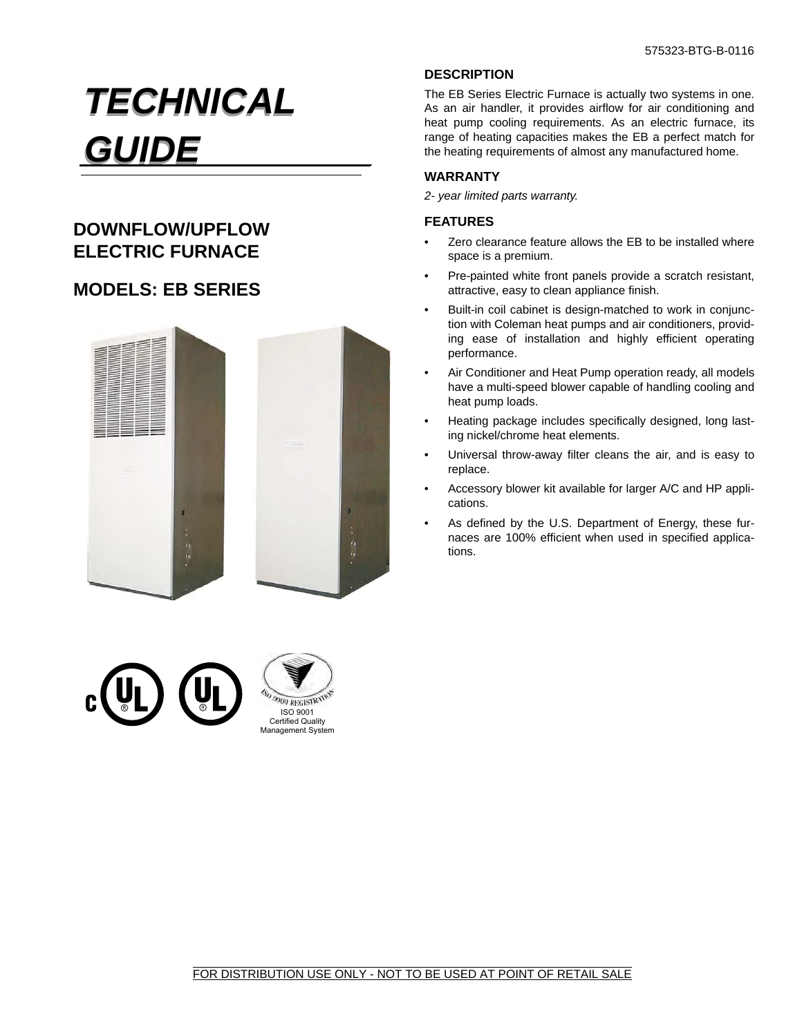# *TECHNICAL TECHNICAL GUIDE GUIDE*

# **DOWNFLOW/UPFLOW ELECTRIC FURNACE**

# **MODELS: EB SERIES**



## **DESCRIPTION**

The EB Series Electric Furnace is actually two systems in one. As an air handler, it provides airflow for air conditioning and heat pump cooling requirements. As an electric furnace, its range of heating capacities makes the EB a perfect match for the heating requirements of almost any manufactured home.

#### **WARRANTY**

*2- year limited parts warranty.*

#### **FEATURES**

- Zero clearance feature allows the EB to be installed where space is a premium.
- Pre-painted white front panels provide a scratch resistant, attractive, easy to clean appliance finish.
- Built-in coil cabinet is design-matched to work in conjunction with Coleman heat pumps and air conditioners, providing ease of installation and highly efficient operating performance.
- Air Conditioner and Heat Pump operation ready, all models have a multi-speed blower capable of handling cooling and heat pump loads.
- Heating package includes specifically designed, long lasting nickel/chrome heat elements.
- Universal throw-away filter cleans the air, and is easy to replace.
- Accessory blower kit available for larger A/C and HP applications.
- As defined by the U.S. Department of Energy, these furnaces are 100% efficient when used in specified applications.



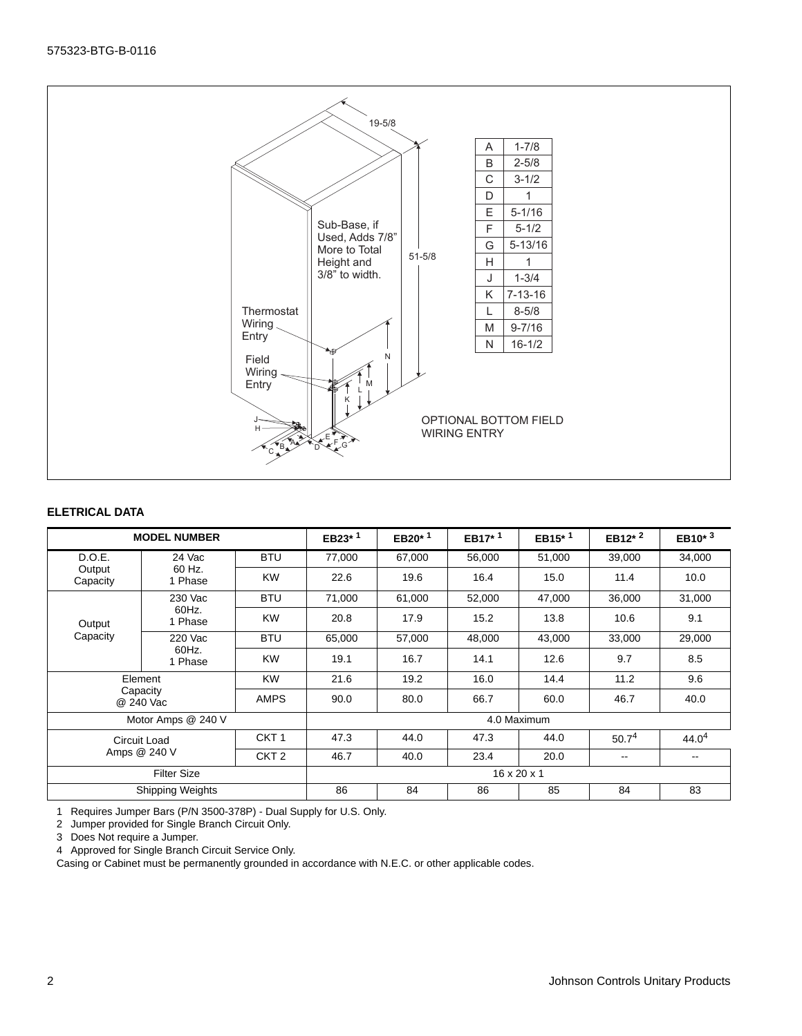

#### **ELETRICAL DATA**

| <b>MODEL NUMBER</b>     |                                               |                  | EB23*1 | EB20 $*$ <sup>1</sup> | EB17 <sup>*1</sup> | EB15 $*$ <sup>1</sup> | EB12 $*$ <sup>2</sup> | EB10 $*$ <sup>3</sup> |
|-------------------------|-----------------------------------------------|------------------|--------|-----------------------|--------------------|-----------------------|-----------------------|-----------------------|
| D.O.E.                  | 24 Vac                                        | <b>BTU</b>       | 77,000 | 67,000                | 56,000             | 51,000                | 39,000                | 34,000                |
| Output<br>Capacity      | 60 Hz.<br>1 Phase                             | <b>KW</b>        | 22.6   | 19.6                  | 16.4               | 15.0                  | 11.4                  | 10.0                  |
| Output<br>Capacity      | 230 Vac<br>60Hz.<br>1 Phase                   | <b>BTU</b>       | 71,000 | 61,000                |                    | 47,000                | 36,000                | 31,000                |
|                         |                                               | <b>KW</b>        | 20.8   | 17.9                  | 15.2               | 13.8                  | 10.6                  | 9.1                   |
|                         | 220 Vac<br>60Hz.<br>1 Phase                   | <b>BTU</b>       | 65,000 | 57,000                | 43,000<br>48,000   |                       | 33,000                | 29,000                |
|                         |                                               | <b>KW</b>        | 19.1   | 16.7                  | 14.1               | 12.6                  | 9.7                   | 8.5                   |
| Element                 |                                               | <b>KW</b>        | 21.6   | 19.2                  | 16.0               | 14.4                  | 11.2                  | 9.6                   |
|                         | Capacity<br>@ 240 Vac                         | <b>AMPS</b>      | 90.0   | 80.0                  | 66.7               | 60.0                  | 46.7                  | 40.0                  |
|                         | Motor Amps @ 240 V                            |                  |        | 4.0 Maximum           |                    |                       |                       |                       |
| Circuit Load            |                                               | CKT <sub>1</sub> | 47.3   | 44.0                  | 47.3<br>44.0       |                       | 50.7 <sup>4</sup>     | 44.0 <sup>4</sup>     |
|                         | Amps @ 240 V                                  | CKT <sub>2</sub> | 46.7   | 40.0                  | 23.4               | 20.0                  | $- -$                 | $- -$                 |
|                         | <b>Filter Size</b><br>$16 \times 20 \times 1$ |                  |        |                       |                    |                       |                       |                       |
| <b>Shipping Weights</b> |                                               |                  | 86     | 84                    | 86                 | 85                    | 84                    | 83                    |

1 Requires Jumper Bars (P/N 3500-378P) - Dual Supply for U.S. Only.

2 Jumper provided for Single Branch Circuit Only.

3 Does Not require a Jumper.

4 Approved for Single Branch Circuit Service Only.

Casing or Cabinet must be permanently grounded in accordance with N.E.C. or other applicable codes.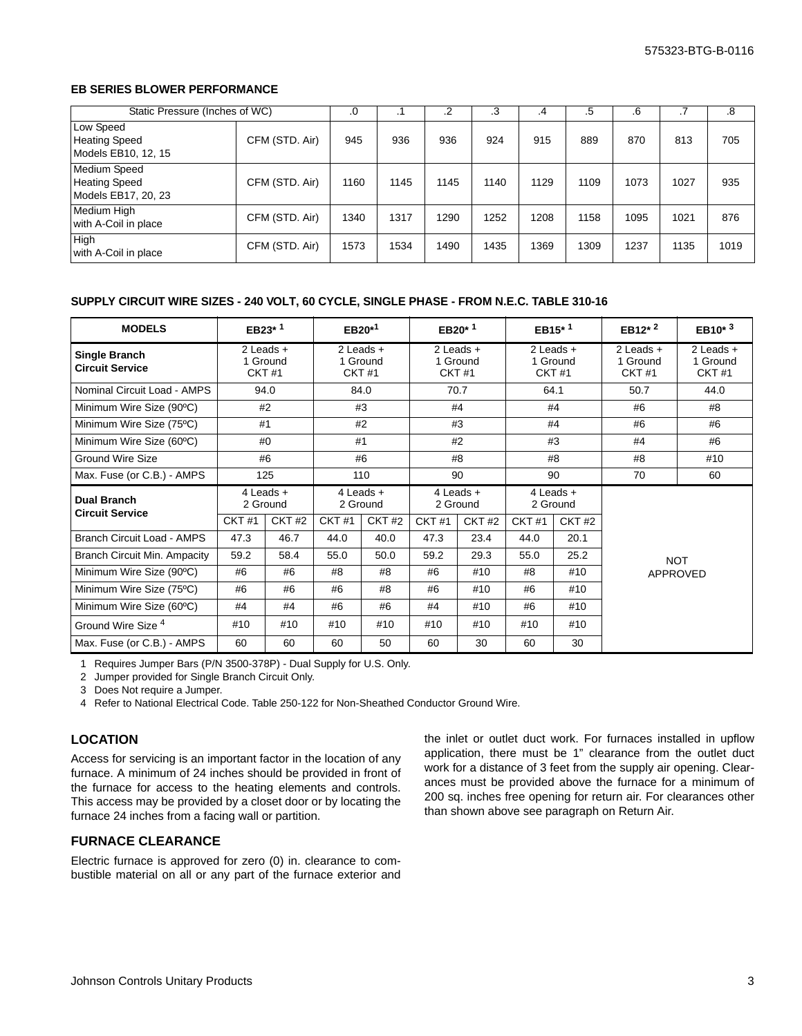#### **EB SERIES BLOWER PERFORMANCE**

|                                                                    | Static Pressure (Inches of WC) |      |      |      | .3   | .4   | .5   | .6   |      | .8   |
|--------------------------------------------------------------------|--------------------------------|------|------|------|------|------|------|------|------|------|
| Low Speed<br><b>Heating Speed</b><br>Models EB10, 12, 15           | CFM (STD. Air)                 | 945  | 936  | 936  | 924  | 915  | 889  | 870  | 813  | 705  |
| <b>Medium Speed</b><br><b>Heating Speed</b><br>Models EB17, 20, 23 | CFM (STD. Air)                 | 1160 | 1145 | 1145 | 1140 | 1129 | 1109 | 1073 | 1027 | 935  |
| Medium High<br>with A-Coil in place                                | CFM (STD. Air)                 | 1340 | 1317 | 1290 | 1252 | 1208 | 1158 | 1095 | 1021 | 876  |
| <b>High</b><br>with A-Coil in place                                | CFM (STD. Air)                 | 1573 | 1534 | 1490 | 1435 | 1369 | 1309 | 1237 | 1135 | 1019 |

#### **SUPPLY CIRCUIT WIRE SIZES - 240 VOLT, 60 CYCLE, SINGLE PHASE - FROM N.E.C. TABLE 310-16**

| <b>MODELS</b>                                | EB23 <sup>*1</sup>                        |              | $EB20*1$                                  |       | EB20 <sup><math>*</math>1</sup>           |               | EB <sub>15</sub> $*$ <sup>1</sup>         |                   | EB12 <sup>*2</sup>                        | $EB10^{*3}$                        |
|----------------------------------------------|-------------------------------------------|--------------|-------------------------------------------|-------|-------------------------------------------|---------------|-------------------------------------------|-------------------|-------------------------------------------|------------------------------------|
| Single Branch<br><b>Circuit Service</b>      | $2$ Leads $+$<br>1 Ground<br><b>CKT#1</b> |              | $2$ Leads $+$<br>1 Ground<br><b>CKT#1</b> |       | $2$ Leads $+$<br>1 Ground<br><b>CKT#1</b> |               | $2$ Leads $+$<br>1 Ground<br><b>CKT#1</b> |                   | $2$ Leads $+$<br>1 Ground<br><b>CKT#1</b> | $2$ Leads $+$<br>1 Ground<br>CKT#1 |
| Nominal Circuit Load - AMPS                  | 94.0                                      |              | 84.0                                      |       | 70.7                                      |               | 64.1                                      |                   | 50.7                                      | 44.0                               |
| Minimum Wire Size (90°C)                     |                                           | #2           |                                           | #3    |                                           | #4            |                                           | #4                | #6                                        | #8                                 |
| Minimum Wire Size (75°C)                     |                                           | #1           |                                           | #2    |                                           | #3            |                                           | #4                | #6                                        | #6                                 |
| Minimum Wire Size (60°C)                     |                                           | #0           |                                           | #1    |                                           | #2            |                                           | #3                | #4                                        | #6                                 |
| <b>Ground Wire Size</b>                      |                                           | #6           |                                           | #6    |                                           | #8            |                                           | #8                | #8                                        | #10                                |
| Max. Fuse (or C.B.) - AMPS                   | 125                                       |              | 110                                       |       | 90                                        |               | 90                                        |                   | 70                                        | 60                                 |
| <b>Dual Branch</b><br><b>Circuit Service</b> | $4$ Leads $+$<br>2 Ground                 |              | $4$ Leads $+$<br>2 Ground                 |       | $4$ Leads $+$<br>2 Ground                 |               | $4$ Leads $+$<br>2 Ground                 |                   |                                           |                                    |
|                                              | CKT#1                                     | <b>CKT#2</b> | <b>CKT#1</b>                              | CKT#2 | CKT#1                                     | <b>CKT #2</b> | <b>CKT#1</b>                              | CKT <sub>#2</sub> |                                           |                                    |
| <b>Branch Circuit Load - AMPS</b>            | 47.3                                      | 46.7         | 44.0                                      | 40.0  | 47.3                                      | 23.4          | 44.0                                      | 20.1              |                                           |                                    |
| <b>Branch Circuit Min. Ampacity</b>          | 59.2                                      | 58.4         | 55.0                                      | 50.0  | 59.2                                      | 29.3          | 55.0                                      | 25.2              | <b>NOT</b>                                |                                    |
| Minimum Wire Size (90°C)                     | #6                                        | #6           | #8                                        | #8    | #6                                        | #10           | #8                                        | #10               | <b>APPROVED</b>                           |                                    |
| Minimum Wire Size (75°C)                     | #6                                        | #6           | #6                                        | #8    | #6                                        | #10           | #6                                        | #10               |                                           |                                    |
| Minimum Wire Size (60°C)                     | #4                                        | #4           | #6                                        | #6    | #4                                        | #10           | #6                                        | #10               |                                           |                                    |
| Ground Wire Size <sup>4</sup>                | #10                                       | #10          | #10                                       | #10   | #10                                       | #10           | #10                                       | #10               |                                           |                                    |
| Max. Fuse (or C.B.) - AMPS                   | 60                                        | 60           | 60                                        | 50    | 60                                        | 30            | 60                                        | 30                |                                           |                                    |

1 Requires Jumper Bars (P/N 3500-378P) - Dual Supply for U.S. Only.

2 Jumper provided for Single Branch Circuit Only.

3 Does Not require a Jumper.

4 Refer to National Electrical Code. Table 250-122 for Non-Sheathed Conductor Ground Wire.

#### **LOCATION**

Access for servicing is an important factor in the location of any furnace. A minimum of 24 inches should be provided in front of the furnace for access to the heating elements and controls. This access may be provided by a closet door or by locating the furnace 24 inches from a facing wall or partition.

# **FURNACE CLEARANCE**

Electric furnace is approved for zero (0) in. clearance to combustible material on all or any part of the furnace exterior and the inlet or outlet duct work. For furnaces installed in upflow application, there must be 1" clearance from the outlet duct work for a distance of 3 feet from the supply air opening. Clearances must be provided above the furnace for a minimum of 200 sq. inches free opening for return air. For clearances other than shown above see paragraph on Return Air.